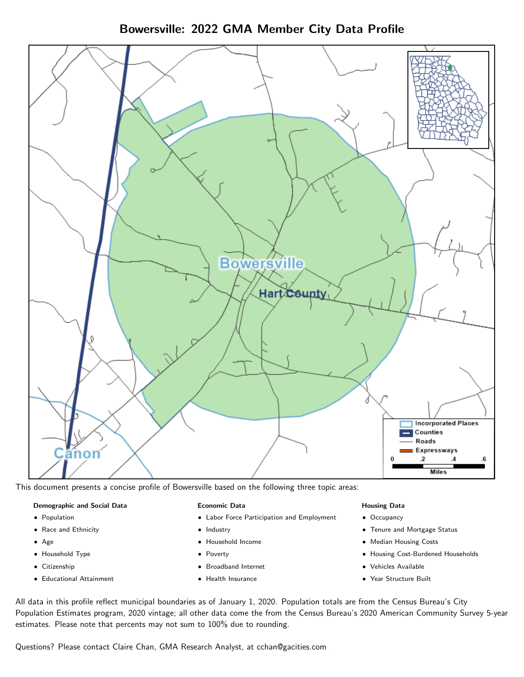Bowersville: 2022 GMA Member City Data Profile



This document presents a concise profile of Bowersville based on the following three topic areas:

#### Demographic and Social Data

- **•** Population
- Race and Ethnicity
- Age
- Household Type
- **Citizenship**
- Educational Attainment

#### Economic Data

- Labor Force Participation and Employment
- Industry
- Household Income
- Poverty
- Broadband Internet
- Health Insurance

#### Housing Data

- Occupancy
- Tenure and Mortgage Status
- Median Housing Costs
- Housing Cost-Burdened Households
- Vehicles Available
- Year Structure Built

All data in this profile reflect municipal boundaries as of January 1, 2020. Population totals are from the Census Bureau's City Population Estimates program, 2020 vintage; all other data come the from the Census Bureau's 2020 American Community Survey 5-year estimates. Please note that percents may not sum to 100% due to rounding.

Questions? Please contact Claire Chan, GMA Research Analyst, at [cchan@gacities.com.](mailto:cchan@gacities.com)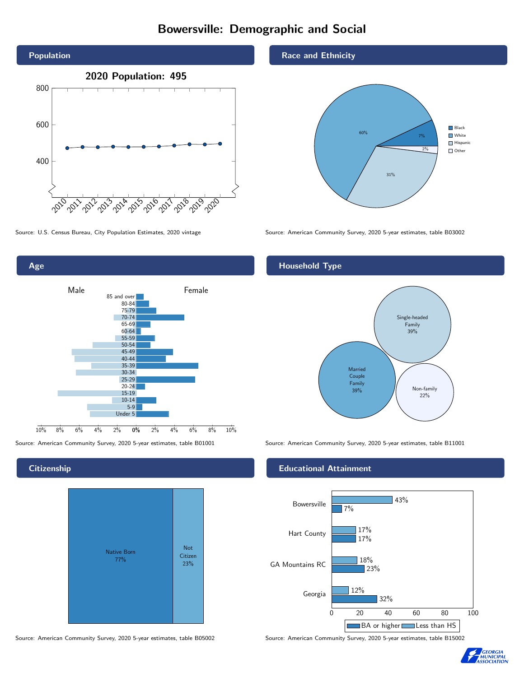# Bowersville: Demographic and Social





**Citizenship** 



Race and Ethnicity



Source: U.S. Census Bureau, City Population Estimates, 2020 vintage Source: American Community Survey, 2020 5-year estimates, table B03002

## Household Type



Source: American Community Survey, 2020 5-year estimates, table B01001 Source: American Community Survey, 2020 5-year estimates, table B11001

### Educational Attainment



Source: American Community Survey, 2020 5-year estimates, table B05002 Source: American Community Survey, 2020 5-year estimates, table B15002

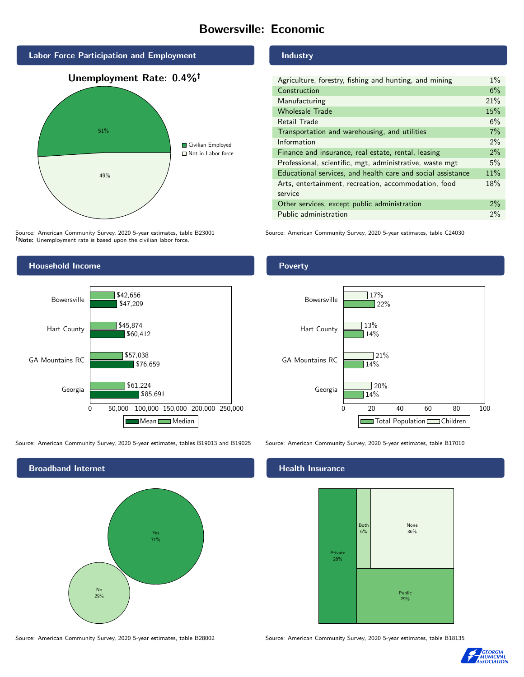# Bowersville: Economic



Source: American Community Survey, 2020 5-year estimates, table B23001 Note: Unemployment rate is based upon the civilian labor force.

### Industry

| Agriculture, forestry, fishing and hunting, and mining      | $1\%$ |
|-------------------------------------------------------------|-------|
| Construction                                                | 6%    |
| Manufacturing                                               | 21%   |
| <b>Wholesale Trade</b>                                      | 15%   |
| Retail Trade                                                | 6%    |
| Transportation and warehousing, and utilities               | 7%    |
| Information                                                 | $2\%$ |
| Finance and insurance, real estate, rental, leasing         | $2\%$ |
| Professional, scientific, mgt, administrative, waste mgt    | 5%    |
| Educational services, and health care and social assistance | 11%   |
| Arts, entertainment, recreation, accommodation, food        | 18%   |
| service                                                     |       |
| Other services, except public administration                | $2\%$ |
| Public administration                                       | 2%    |

Source: American Community Survey, 2020 5-year estimates, table C24030



Source: American Community Survey, 2020 5-year estimates, tables B19013 and B19025 Source: American Community Survey, 2020 5-year estimates, table B17010



Source: American Community Survey, 2020 5-year estimates, table B28002 Source: American Community Survey, 2020 5-year estimates, table B18135

Poverty



# **Health Insurance**